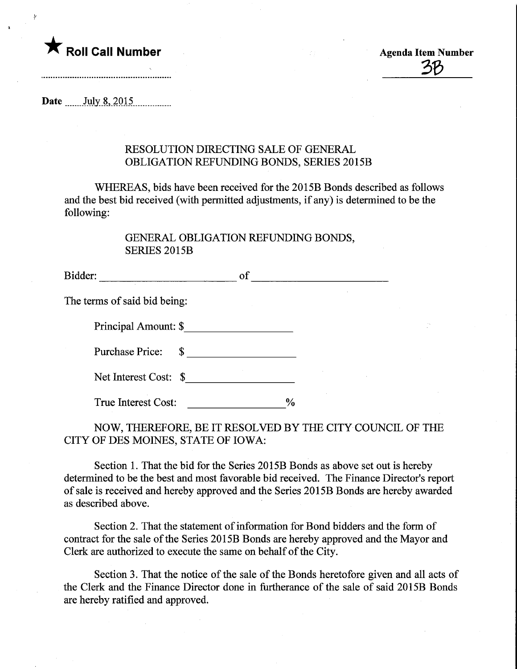

Date ....... July.8,.201.5

## RESOLUTION DIRECTING SALE OF GENERAL OBLIGATION REFUNDING BONDS, SERIES 2015B

WHEREAS, bids have been received for the 2015B Bonds described as follows and the best bid received (with permitted adjustments, if any) is determined to be the following:

## GENERAL OBLIGATION REFUNDING BONDS, SERIES 2015B

| <b>SERIES 2015B</b>          |               |  |
|------------------------------|---------------|--|
| Bidder:                      | of            |  |
| The terms of said bid being: |               |  |
| Principal Amount: \$         |               |  |
| <b>Purchase Price:</b><br>\$ |               |  |
| Net Interest Cost: \$        |               |  |
| True Interest Cost:          | $\frac{0}{0}$ |  |

NOW, THEREFORE, BE IT RESOLVED BY THE CITY COUNCIL OF THE CITY OF DES MOINES, STATE OF IOWA:

Section 1. That the bid for the Series 2015B Bonds as above set out is hereby determined to be the best and most favorable bid received. The Finance Director's report of sale is received and hereby approved and the Series 2015B Bonds are hereby awarded as described above.

Section 2. That the statement of information for Bond bidders and the form of contract for the sale of the Series 2015B Bonds are hereby approved and the Mayor and Clerk are authorized to execute the same on behalf of the City.

Section 3. That the notice of the sale of the Bonds heretofore given and all acts of the Clerk and the Finance Director done in furtherance of the sale of said 2015B Bonds are hereby ratified and approved.